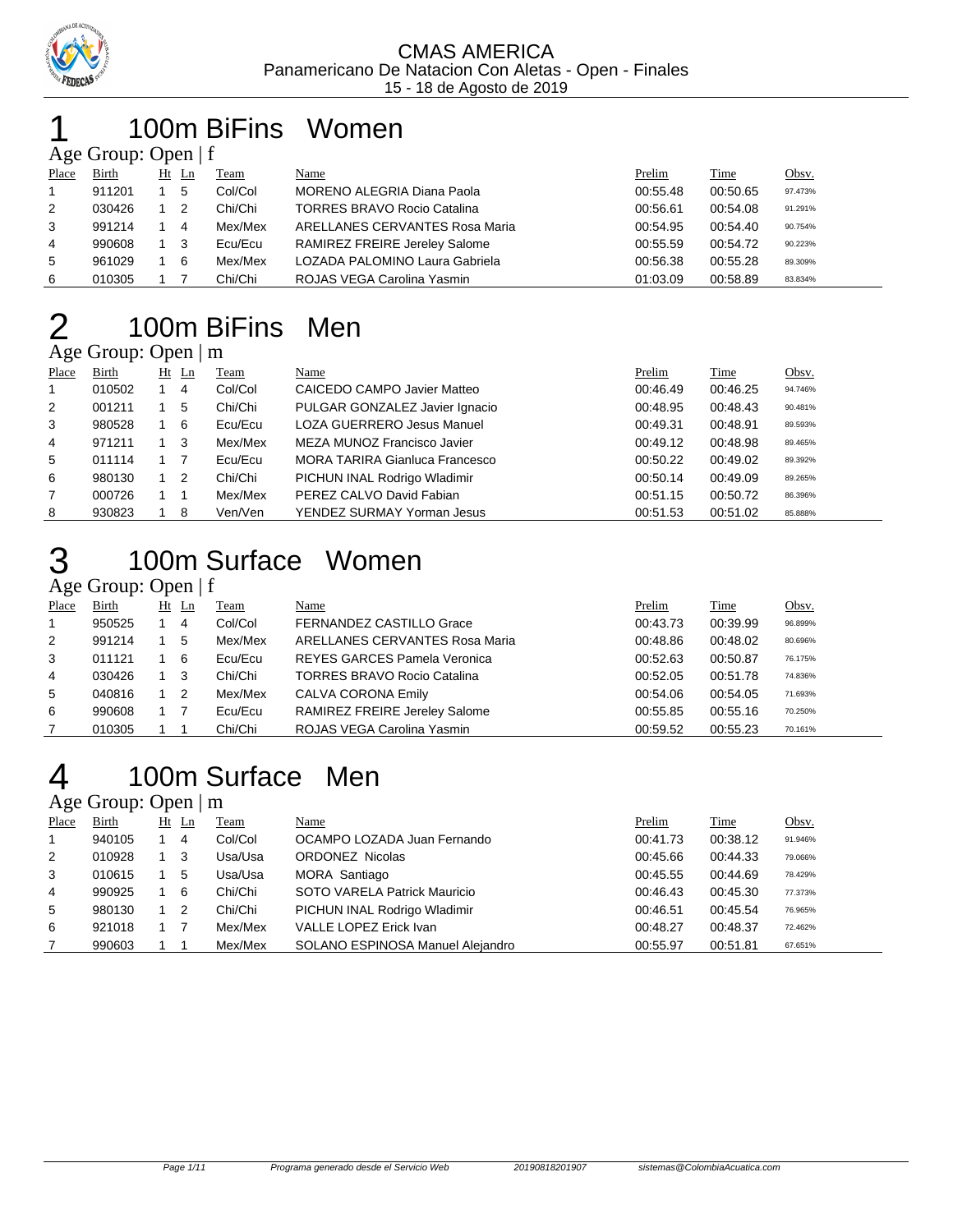

### 100m BiFins Women Age Group: Open  $|f|$

|                | $\Delta \ge 0$ Oroup. Open   1 |  |         |         |                                    |          |          |              |  |  |  |  |  |
|----------------|--------------------------------|--|---------|---------|------------------------------------|----------|----------|--------------|--|--|--|--|--|
| Place          | Birth                          |  | $Ht$ Ln | Team    | Name                               | Prelim   | Time     | <u>Obsv.</u> |  |  |  |  |  |
| $\overline{1}$ | 911201                         |  | 5       | Col/Col | MORENO ALEGRIA Diana Paola         | 00:55.48 | 00:50.65 | 97.473%      |  |  |  |  |  |
| 2              | 030426                         |  | -2      | Chi/Chi | <b>TORRES BRAVO Rocio Catalina</b> | 00:56.61 | 00:54.08 | 91.291%      |  |  |  |  |  |
| 3              | 991214                         |  | 4       | Mex/Mex | ARELLANES CERVANTES Rosa Maria     | 00:54.95 | 00:54.40 | 90.754%      |  |  |  |  |  |
| 4              | 990608                         |  | - 3     | Ecu/Ecu | RAMIREZ FREIRE Jereley Salome      | 00:55.59 | 00:54.72 | 90.223%      |  |  |  |  |  |
| -5             | 961029                         |  | - 6     | Mex/Mex | LOZADA PALOMINO Laura Gabriela     | 00:56.38 | 00:55.28 | 89.309%      |  |  |  |  |  |
| 6              | 010305                         |  |         | Chi/Chi | ROJAS VEGA Carolina Yasmin         | 01:03.09 | 00:58.89 | 83.834%      |  |  |  |  |  |

# 100m BiFins Men

## Age Group: Open | m

| Place       | Birth  |     | $Ht$ Ln        | <b>Team</b> | <u>Name</u>                           | Prelim   | Time     | Obsv.   |
|-------------|--------|-----|----------------|-------------|---------------------------------------|----------|----------|---------|
| $\mathbf 1$ | 010502 |     | 4              | Col/Col     | CAICEDO CAMPO Javier Matteo           | 00:46.49 | 00:46.25 | 94.746% |
| 2           | 001211 |     | 5              | Chi/Chi     | PULGAR GONZALEZ Javier Ignacio        | 00:48.95 | 00:48.43 | 90.481% |
| 3           | 980528 |     | - 6            | Ecu/Ecu     | <b>LOZA GUERRERO Jesus Manuel</b>     | 00:49.31 | 00:48.91 | 89.593% |
| 4           | 971211 | 1 3 |                | Mex/Mex     | MEZA MUNOZ Francisco Javier           | 00:49.12 | 00:48.98 | 89.465% |
| 5           | 011114 |     |                | Ecu/Ecu     | <b>MORA TARIRA Gianluca Francesco</b> | 00:50.22 | 00:49.02 | 89.392% |
| 6           | 980130 |     | $\overline{2}$ | Chi/Chi     | PICHUN INAL Rodrigo Wladimir          | 00:50.14 | 00:49.09 | 89.265% |
| 7           | 000726 |     |                | Mex/Mex     | PEREZ CALVO David Fabian              | 00:51.15 | 00:50.72 | 86.396% |
| 8           | 930823 |     | -8             | Ven/Ven     | YENDEZ SURMAY Yorman Jesus            | 00:51.53 | 00:51.02 | 85.888% |

# 100m Surface Women

## Age Group: Open | f

| Place | Birth  | $Ht$ Ln | Team    | Name                                | Prelim   | <b>Time</b> | Obsv.   |
|-------|--------|---------|---------|-------------------------------------|----------|-------------|---------|
|       | 950525 | 4       | Col/Col | <b>FERNANDEZ CASTILLO Grace</b>     | 00:43.73 | 00:39.99    | 96.899% |
| 2     | 991214 | 5       | Mex/Mex | ARELLANES CERVANTES Rosa Maria      | 00:48.86 | 00:48.02    | 80.696% |
| 3     | 011121 | 6       | Ecu/Ecu | <b>REYES GARCES Pamela Veronica</b> | 00:52.63 | 00:50.87    | 76.175% |
| 4     | 030426 | -3      | Chi/Chi | <b>TORRES BRAVO Rocio Catalina</b>  | 00:52.05 | 00:51.78    | 74.836% |
| 5     | 040816 | -2      | Mex/Mex | CALVA CORONA Emily                  | 00:54.06 | 00:54.05    | 71.693% |
| 6     | 990608 |         | Ecu/Ecu | RAMIREZ FREIRE Jereley Salome       | 00:55.85 | 00:55.16    | 70.250% |
|       | 010305 |         | Chi/Chi | ROJAS VEGA Carolina Yasmin          | 00:59.52 | 00:55.23    | 70.161% |

# 100m Surface Men

## Age Group: Open | m

| Place | Birth  | $Ht$ Ln        | Team    | <u>Name</u>                      | Prelim   | Time     | <u>Obsv.</u> |
|-------|--------|----------------|---------|----------------------------------|----------|----------|--------------|
|       | 940105 | 4              | Col/Col | OCAMPO LOZADA Juan Fernando      | 00:41.73 | 00:38.12 | 91.946%      |
| 2     | 010928 | -3             | Usa/Usa | <b>ORDONEZ Nicolas</b>           | 00:45.66 | 00:44.33 | 79.066%      |
| 3     | 010615 | 5              | Usa/Usa | MORA Santiago                    | 00:45.55 | 00:44.69 | 78.429%      |
| 4     | 990925 | 6              | Chi/Chi | SOTO VARELA Patrick Mauricio     | 00:46.43 | 00:45.30 | 77.373%      |
| 5     | 980130 | $\overline{2}$ | Chi/Chi | PICHUN INAL Rodrigo Wladimir     | 00:46.51 | 00:45.54 | 76.965%      |
| 6     | 921018 |                | Mex/Mex | VALLE LOPEZ Erick Ivan           | 00:48.27 | 00:48.37 | 72.462%      |
|       | 990603 |                | Mex/Mex | SOLANO ESPINOSA Manuel Alejandro | 00:55.97 | 00:51.81 | 67.651%      |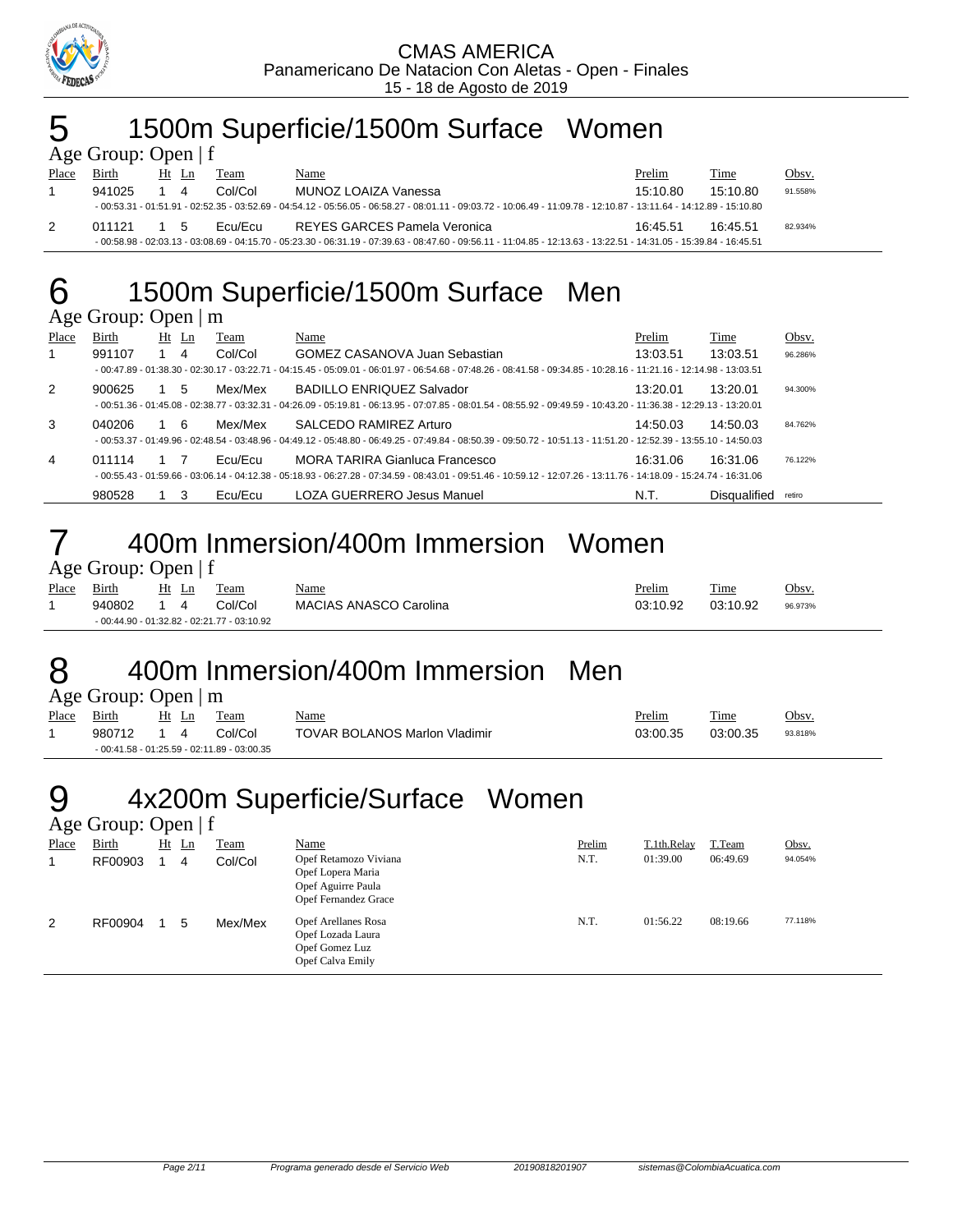

# 5 1500m Superficie/1500m Surface Women

| Age Group: Open $ f $ |        |    |       |         |                                                                                                                                                                                                    |          |             |         |  |  |  |  |
|-----------------------|--------|----|-------|---------|----------------------------------------------------------------------------------------------------------------------------------------------------------------------------------------------------|----------|-------------|---------|--|--|--|--|
| Place                 | Birth  |    | Ht Ln | Team    | Name                                                                                                                                                                                               | Prelim   | <b>Time</b> | Obsv.   |  |  |  |  |
|                       | 941025 |    | 4     | Col/Col | MUNOZ LOAIZA Vanessa                                                                                                                                                                               | 15:10.80 | 15:10.80    | 91.558% |  |  |  |  |
|                       |        |    |       |         | - $00:53.31$ - $01:51.91$ - $02:52.35$ - $03:52.69$ - $04:54.12$ - $05:56.05$ - $06:58.27$ - $08:01.11$ - $09:03.72$ - $10:06.49$ - $11:09.78$ - $12:10.87$ - $13:11.64$ - $14:12.89$ - $15:10.80$ |          |             |         |  |  |  |  |
| 2                     | 011121 | 15 |       | Fou/Fou | REYES GARCES Pamela Veronica                                                                                                                                                                       | 16:45.51 | 16:45.51    | 82.934% |  |  |  |  |
|                       |        |    |       |         | - 00:58.98 - 02:03.13 - 03:08.69 - 04:15.70 - 05:23.30 - 06:31.19 - 07:39.63 - 08:47.60 - 09:56.11 - 11:04.85 - 12:13.63 - 13:22.51 - 14:31.05 - 15:39.84 - 16:45.51                               |          |             |         |  |  |  |  |

# 6 1500m Superficie/1500m Surface Men

### Age Group: Open | m

| ັ     |        |         |         |                                                                                                                                                                        |          |              |         |
|-------|--------|---------|---------|------------------------------------------------------------------------------------------------------------------------------------------------------------------------|----------|--------------|---------|
| Place | Birth  | $Ht$ Ln | Team    | Name                                                                                                                                                                   | Prelim   | Time         | Obsv.   |
|       | 991107 | 4       | Col/Col | <b>GOMEZ CASANOVA Juan Sebastian</b>                                                                                                                                   | 13:03.51 | 13:03.51     | 96.286% |
|       |        |         |         | - 00:47.89 - 01:38.30 - 02:30.17 - 03:22.71 - 04:15.45 - 05:09.01 - 06:01.97 - 06:54.68 - 07:48.26 - 08:41.58 - 09:34.85 - 10:28.16 - 11:21.16 - 12:14.98 - 13:03.51   |          |              |         |
| 2     | 900625 | 5       | Mex/Mex | <b>BADILLO ENRIQUEZ Salvador</b>                                                                                                                                       | 13:20.01 | 13:20.01     | 94.300% |
|       |        |         |         | - 00:51.36 - 01:45.08 - 02:38.77 - 03:32.31 - 04:26.09 - 05:19.81 - 06:13.95 - 07:07.85 - 08:01.54 - 08:55.92 - 09:49.59 - 10:43.20 - 11:36.38 - 12:29.13 - 13:20.01   |          |              |         |
| 3     | 040206 | - 6     | Mex/Mex | SALCEDO RAMIREZ Arturo                                                                                                                                                 | 14:50.03 | 14:50.03     | 84.762% |
|       |        |         |         | - $00:53.37 - 01:49.96 - 02:48.54 - 03:48.96 - 04:49.12 - 05:48.80 - 06:49.25 - 07:49.84 - 08:50.39 - 09:50.72 - 10:51.13 - 11:51.20 - 12:52.39 - 13:55.10 - 14:50.03$ |          |              |         |
| 4     | 011114 |         | Ecu/Ecu | <b>MORA TARIRA Gianluca Francesco</b>                                                                                                                                  | 16:31.06 | 16:31.06     | 76.122% |
|       |        |         |         | - 00:55.43 - 01:59.66 - 03:06.14 - 04:12.38 - 05:18.93 - 06:27.28 - 07:34.59 - 08:43.01 - 09:51.46 - 10:59.12 - 12:07.26 - 13:11.76 - 14:18.09 - 15:24.74 - 16:31.06   |          |              |         |
|       | 980528 |         | Ecu/Ecu | LOZA GUERRERO Jesus Manuel                                                                                                                                             | N.T.     | Disgualified | retiro  |

# 7 400m Inmersion/400m Immersion Women

| Age Group: Open   f |  |  |
|---------------------|--|--|
|                     |  |  |

| Place | Birth  | Ht Ln       | Team                                        | <b>Name</b>            | Prelim   | <b>Time</b> | Obsv.   |
|-------|--------|-------------|---------------------------------------------|------------------------|----------|-------------|---------|
|       | 940802 | $1 \quad 4$ | Col/Col                                     | MACIAS ANASCO Carolina | 03:10.92 | 03:10.92    | 96.973% |
|       |        |             | - 00:44.90 - 01:32.82 - 02:21.77 - 03:10.92 |                        |          |             |         |

# 8 400m Inmersion/400m Immersion Men

| Age Group: Open   m |  |  |
|---------------------|--|--|
|---------------------|--|--|

| Place | Birth      | Ht Ln | Team                                         | <u>Name</u>                          | Prelim   | Time     | <u>Obsv.</u> |
|-------|------------|-------|----------------------------------------------|--------------------------------------|----------|----------|--------------|
|       | 980712 1 4 |       | Col/Col                                      | <b>TOVAR BOLANOS Marlon Vladimir</b> | 03:00.35 | 03:00.35 | 93.818%      |
|       |            |       | $-00:41.58 - 01:25.59 - 02:11.89 - 03:00.35$ |                                      |          |          |              |

## 4x200m Superficie/Surface Women  $9$   $4$ XZUUII<br>Age Group: Open | f

|       | $\Delta \geq 0$ Oroup. Open   1 |    |    |         |                                                                                                 |        |             |          |         |
|-------|---------------------------------|----|----|---------|-------------------------------------------------------------------------------------------------|--------|-------------|----------|---------|
| Place | Birth                           | Ht | Ln | Team    | <b>Name</b>                                                                                     | Prelim | T.1th.Relay | T.Team   | Obsv.   |
|       | RF00903                         |    | 4  | Col/Col | Opef Retamozo Viviana<br>Opef Lopera Maria<br>Opef Aguirre Paula<br><b>Opef Fernandez Grace</b> | N.T.   | 01:39.00    | 06:49.69 | 94.054% |
| 2     | RF00904                         |    | 5  | Mex/Mex | Opef Arellanes Rosa<br>Opef Lozada Laura<br>Opef Gomez Luz<br>Opef Calva Emily                  | N.T.   | 01:56.22    | 08:19.66 | 77.118% |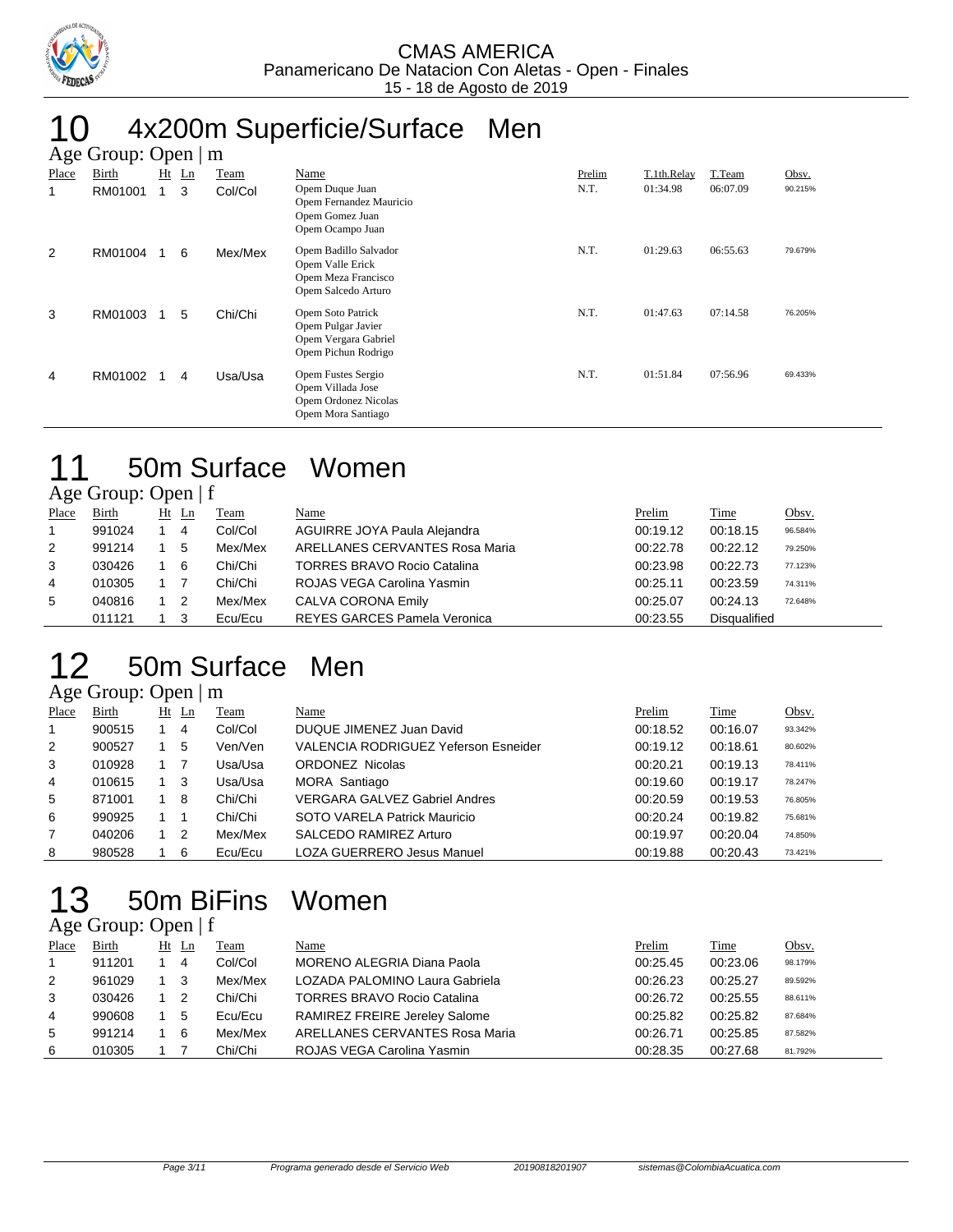

# 10 4x200m Superficie/Surface Men

|       | Age Group: Open $\mid$ m |              |                |         |                                                                                         |        |             |          |         |  |  |  |  |
|-------|--------------------------|--------------|----------------|---------|-----------------------------------------------------------------------------------------|--------|-------------|----------|---------|--|--|--|--|
| Place | Birth                    | Ht           | $\mathbf{L}$ n | Team    | Name                                                                                    | Prelim | T.1th.Relay | T.Team   | Obsv.   |  |  |  |  |
| 1     | RM01001                  | $\mathbf{1}$ | 3              | Col/Col | Opem Duque Juan<br>Opem Fernandez Mauricio<br>Opem Gomez Juan<br>Opem Ocampo Juan       | N.T.   | 01:34.98    | 06:07.09 | 90.215% |  |  |  |  |
| 2     | RM01004                  |              | 6              | Mex/Mex | Opem Badillo Salvador<br>Opem Valle Erick<br>Opem Meza Francisco<br>Opem Salcedo Arturo | N.T.   | 01:29.63    | 06:55.63 | 79.679% |  |  |  |  |
| 3     | RM01003                  |              | 5              | Chi/Chi | Opem Soto Patrick<br>Opem Pulgar Javier<br>Opem Vergara Gabriel<br>Opem Pichun Rodrigo  | N.T.   | 01:47.63    | 07:14.58 | 76.205% |  |  |  |  |
| 4     | RM01002                  |              | 4              | Usa/Usa | Opem Fustes Sergio<br>Opem Villada Jose<br>Opem Ordonez Nicolas<br>Opem Mora Santiago   | N.T.   | 01:51.84    | 07:56.96 | 69.433% |  |  |  |  |

# 11 50m Surface Women

## Age Group: Open | f

| Place        | <b>Birth</b> | $Ht$ Ln | Team    | Name                                | Prelim   | Time                | <u>Obsv.</u> |
|--------------|--------------|---------|---------|-------------------------------------|----------|---------------------|--------------|
| $\mathbf{1}$ | 991024       | 4       | Col/Col | AGUIRRE JOYA Paula Alejandra        | 00:19.12 | 00:18.15            | 96.584%      |
| 2            | 991214       | 5       | Mex/Mex | ARELLANES CERVANTES Rosa Maria      | 00:22.78 | 00:22.12            | 79.250%      |
| 3            | 030426       | -6      | Chi/Chi | <b>TORRES BRAVO Rocio Catalina</b>  | 00:23.98 | 00:22.73            | 77.123%      |
| 4            | 010305       |         | Chi/Chi | ROJAS VEGA Carolina Yasmin          | 00:25.11 | 00:23.59            | 74.311%      |
| 5            | 040816       | -2      | Mex/Mex | <b>CALVA CORONA Emily</b>           | 00:25.07 | 00:24.13            | 72.648%      |
|              | 011121       |         | Ecu/Ecu | <b>REYES GARCES Pamela Veronica</b> | 00:23.55 | <b>Disqualified</b> |              |

# 12 50m Surface Men

## Age Group: Open | m

| Place | Birth  | $Ht$ Ln | Team    | Name                                        | Prelim   | Time     | Obsv.   |
|-------|--------|---------|---------|---------------------------------------------|----------|----------|---------|
|       | 900515 | 4       | Col/Col | DUQUE JIMENEZ Juan David                    | 00:18.52 | 00:16.07 | 93.342% |
| 2     | 900527 | 5       | Ven/Ven | <b>VALENCIA RODRIGUEZ Yeferson Esneider</b> | 00:19.12 | 00:18.61 | 80.602% |
| 3     | 010928 |         | Usa/Usa | <b>ORDONEZ Nicolas</b>                      | 00:20.21 | 00:19.13 | 78.411% |
| 4     | 010615 | -3      | Usa/Usa | MORA Santiago                               | 00:19.60 | 00:19.17 | 78.247% |
| 5     | 871001 | 8       | Chi/Chi | VERGARA GALVEZ Gabriel Andres               | 00:20.59 | 00:19.53 | 76.805% |
| 6     | 990925 |         | Chi/Chi | SOTO VARELA Patrick Mauricio                | 00:20.24 | 00:19.82 | 75.681% |
|       | 040206 | -2      | Mex/Mex | SALCEDO RAMIREZ Arturo                      | 00:19.97 | 00:20.04 | 74.850% |
| 8     | 980528 | 6       | Ecu/Ecu | <b>LOZA GUERRERO Jesus Manuel</b>           | 00:19.88 | 00:20.43 | 73.421% |

## 13 50m BiFins Age Group: Open | f

| Women |  |
|-------|--|
|       |  |

| Place | Birth  |     | $Ht$ Ln        | Team    | Name                               | Prelim   | Time     | Obsv.   |
|-------|--------|-----|----------------|---------|------------------------------------|----------|----------|---------|
|       | 911201 |     | -4             | Col/Col | MORENO ALEGRIA Diana Paola         | 00:25.45 | 00:23.06 | 98.179% |
| 2     | 961029 | 1 3 |                | Mex/Mex | LOZADA PALOMINO Laura Gabriela     | 00:26.23 | 00:25.27 | 89.592% |
| 3     | 030426 |     | $\overline{2}$ | Chi/Chi | <b>TORRES BRAVO Rocio Catalina</b> | 00:26.72 | 00:25.55 | 88.611% |
| 4     | 990608 |     | 5              | Ecu/Ecu | RAMIREZ FREIRE Jereley Salome      | 00:25.82 | 00:25.82 | 87.684% |
| 5     | 991214 |     | -6             | Mex/Mex | ARELLANES CERVANTES Rosa Maria     | 00:26.71 | 00:25.85 | 87.582% |
| 6     | 010305 |     |                | Chi/Chi | ROJAS VEGA Carolina Yasmin         | 00:28.35 | 00:27.68 | 81.792% |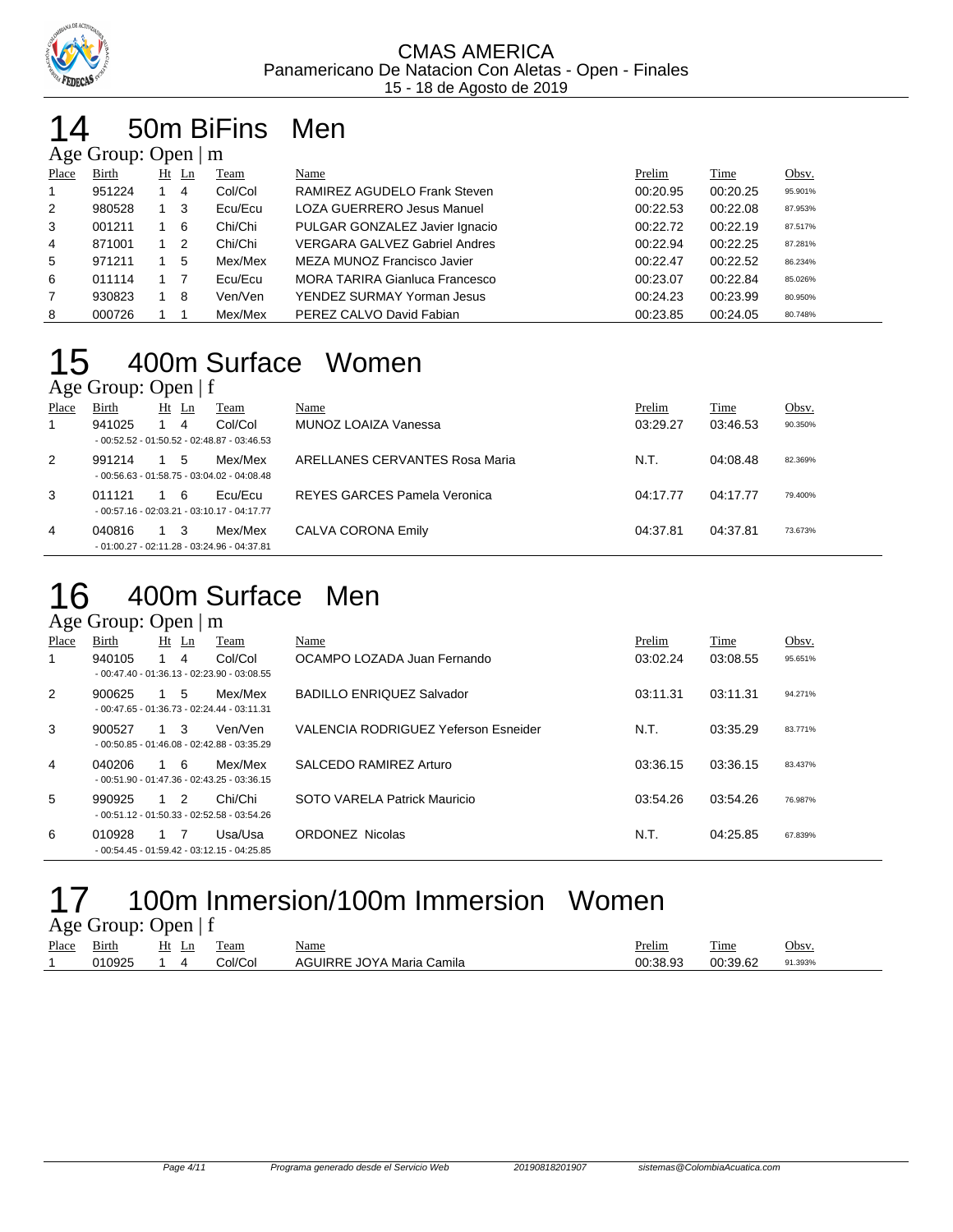

### 4 50m BiFins Men  $\Omega$ ge  $\Omega$

|                | $\Delta \xi$ c Oroup. Open $\mu$ III |  |         |         |                                      |          |          |         |  |  |  |
|----------------|--------------------------------------|--|---------|---------|--------------------------------------|----------|----------|---------|--|--|--|
| Place          | Birth                                |  | $Ht$ Ln | Team    | Name                                 | Prelim   | Time     | Obsv.   |  |  |  |
|                | 951224                               |  | 4       | Col/Col | RAMIREZ AGUDELO Frank Steven         | 00:20.95 | 00:20.25 | 95.901% |  |  |  |
| 2              | 980528                               |  | -3      | Ecu/Ecu | LOZA GUERRERO Jesus Manuel           | 00:22.53 | 00:22.08 | 87.953% |  |  |  |
| 3              | 001211                               |  | 6       | Chi/Chi | PULGAR GONZALEZ Javier Ignacio       | 00:22.72 | 00:22.19 | 87.517% |  |  |  |
| $\overline{4}$ | 871001                               |  | -2      | Chi/Chi | <b>VERGARA GALVEZ Gabriel Andres</b> | 00:22.94 | 00:22.25 | 87.281% |  |  |  |
| 5              | 971211                               |  | 5       | Mex/Mex | MEZA MUNOZ Francisco Javier          | 00:22.47 | 00:22.52 | 86.234% |  |  |  |
| 6              | 011114                               |  |         | Ecu/Ecu | MORA TARIRA Gianluca Francesco       | 00:23.07 | 00:22.84 | 85.026% |  |  |  |
| $\overline{7}$ | 930823                               |  | -8      | Ven/Ven | YENDEZ SURMAY Yorman Jesus           | 00:24.23 | 00:23.99 | 80.950% |  |  |  |
| 8              | 000726                               |  |         | Mex/Mex | PEREZ CALVO David Fabian             | 00:23.85 | 00:24.05 | 80.748% |  |  |  |

## 15 400m Surface Women Age Group: Open  $|f|$

|       | $T_{\rm K}$ UIVUP. Opti $T_{\rm F}$ |             |                                              |                                |          |          |         |
|-------|-------------------------------------|-------------|----------------------------------------------|--------------------------------|----------|----------|---------|
| Place | Birth                               | $Ht$ Ln     | Team                                         | Name                           | Prelim   | Time     | Obsv.   |
|       | 941025                              | 4           | Col/Col                                      | MUNOZ LOAIZA Vanessa           | 03:29.27 | 03:46.53 | 90.350% |
|       |                                     |             | $-00:52.52 - 01:50.52 - 02:48.87 - 03:46.53$ |                                |          |          |         |
| 2     | 991214                              | 5           | Mex/Mex                                      | ARELLANES CERVANTES Rosa Maria | N.T.     | 04:08.48 | 82.369% |
|       |                                     |             | $-00:56.63 - 01:58.75 - 03:04.02 - 04:08.48$ |                                |          |          |         |
| 3     | 011121                              | 1 6         | Ecu/Ecu                                      | REYES GARCES Pamela Veronica   | 04:17.77 | 04:17.77 | 79.400% |
|       |                                     |             | $-00:57.16 - 02:03.21 - 03:10.17 - 04:17.77$ |                                |          |          |         |
| 4     | 040816                              | $1 \quad 3$ | Mex/Mex                                      | CALVA CORONA Emily             | 04:37.81 | 04:37.81 | 73.673% |
|       |                                     |             | $-01:00.27 - 02:11.28 - 03:24.96 - 04:37.81$ |                                |          |          |         |

# 16 400m Surface Men

## Age Group: Open | m

| Place | Birth  | $Ht$ Ln     |    | Team                                                    | Name                                 | Prelim   | Time     | Obsv.   |
|-------|--------|-------------|----|---------------------------------------------------------|--------------------------------------|----------|----------|---------|
| 1     | 940105 |             | 4  | Col/Col<br>$-00:47.40 - 01:36.13 - 02:23.90 - 03:08.55$ | OCAMPO LOZADA Juan Fernando          | 03:02.24 | 03:08.55 | 95.651% |
| 2     | 900625 | 1           | -5 | Mex/Mex<br>$-00:47.65 - 01:36.73 - 02:24.44 - 03:11.31$ | <b>BADILLO ENRIQUEZ Salvador</b>     | 03:11.31 | 03:11.31 | 94.271% |
| 3     | 900527 | $1 \quad 3$ |    | Ven/Ven<br>$-00:50.85 - 01:46.08 - 02:42.88 - 03:35.29$ | VALENCIA RODRIGUEZ Yeferson Esneider | N.T.     | 03:35.29 | 83.771% |
| 4     | 040206 | 1 6         |    | Mex/Mex<br>$-00:51.90 - 01:47.36 - 02:43.25 - 03:36.15$ | SALCEDO RAMIREZ Arturo               | 03:36.15 | 03:36.15 | 83.437% |
| 5     | 990925 | $1\quad 2$  |    | Chi/Chi<br>$-00:51.12 - 01:50.33 - 02:52.58 - 03:54.26$ | SOTO VARELA Patrick Mauricio         | 03:54.26 | 03:54.26 | 76.987% |
| 6     | 010928 | 1 7         |    | Usa/Usa<br>$-00:54.45 - 01:59.42 - 03:12.15 - 04:25.85$ | <b>ORDONEZ Nicolas</b>               | N.T.     | 04:25.85 | 67.839% |

## 17 100m Inmersion/100m Immersion Women Age Group: Open | f

|       | $1.5$ Oroup. Open $\pm$ |       |         |                           |          |             |         |
|-------|-------------------------|-------|---------|---------------------------|----------|-------------|---------|
| Place | <u>Birth</u>            | Ht Ln | Team    | <u>Name</u>               | Prelim   | <b>Time</b> | Obsv    |
|       | 010925                  | 1 4   | Col/Col | AGUIRRE JOYA Maria Camila | 00:38.93 | 00:39.62    | 91.393% |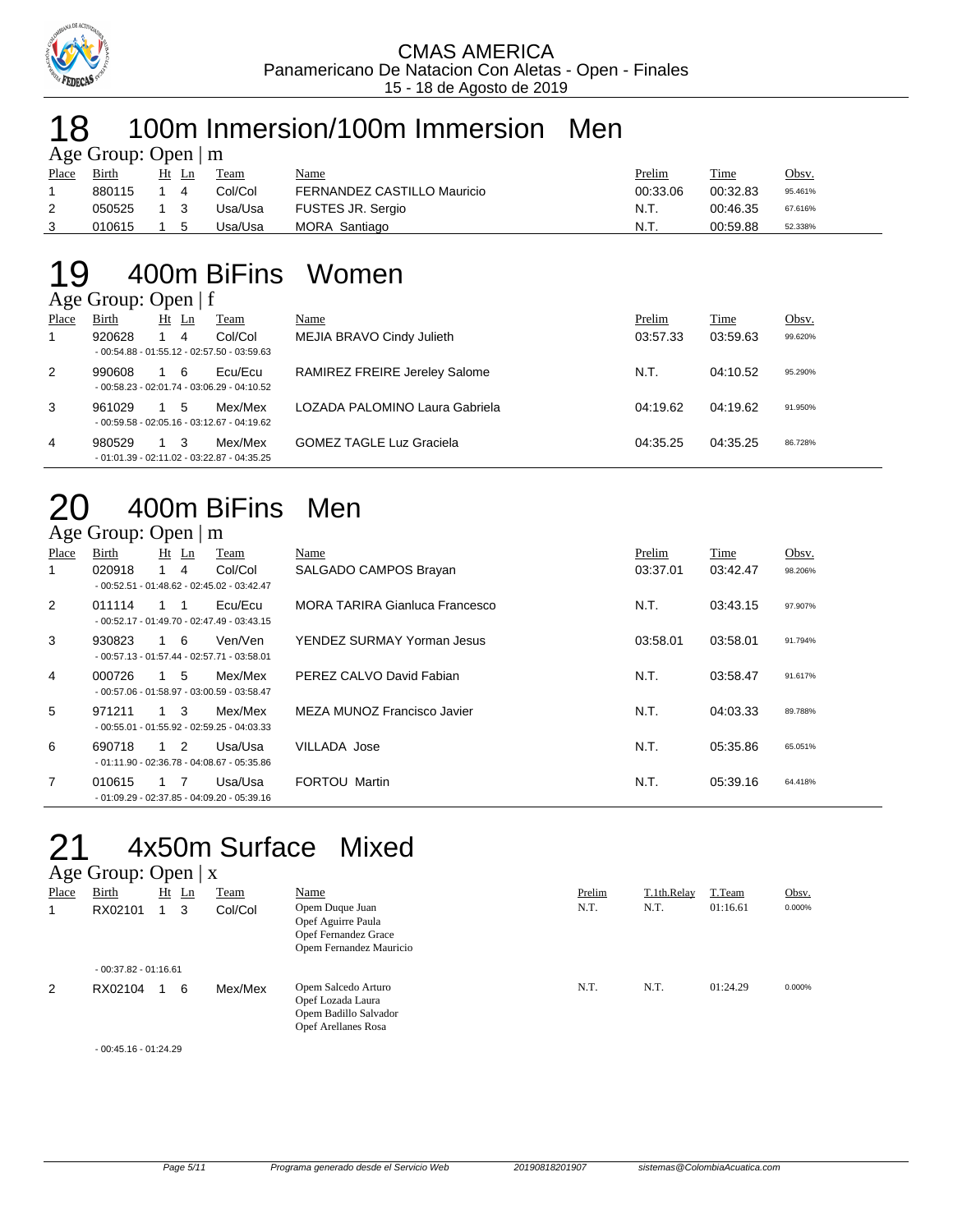

# 18 100m Inmersion/100m Immersion Men

|       | Age Group: Open $\mid$ m |                       |         |                             |          |          |         |
|-------|--------------------------|-----------------------|---------|-----------------------------|----------|----------|---------|
| Place | Birth                    | Ht Ln                 | Team    | Name                        | Prelim   | Time     | Obsv.   |
|       | 880115                   | $\boldsymbol{\Delta}$ | Col/Col | FERNANDEZ CASTILLO Mauricio | 00:33.06 | 00:32.83 | 95.461% |
|       | 050525                   |                       | Usa/Usa | <b>FUSTES JR. Sergio</b>    | N.T.     | 00:46.35 | 67.616% |
|       | 010615                   | 5                     | Usa/Usa | MORA Santiago               | N.T.     | 00:59.88 | 52.338% |

### 19 400m BiFins Women  $\sim$   $\sqrt{c}$

|       | $\angle$ Age Group: Open   1 |         |                                              |                                      |          |          |         |
|-------|------------------------------|---------|----------------------------------------------|--------------------------------------|----------|----------|---------|
| Place | Birth                        | $Ht$ Ln | Team                                         | Name                                 | Prelim   | Time     | Obsv.   |
|       | 920628                       | 4       | Col/Col                                      | MEJIA BRAVO Cindy Julieth            | 03:57.33 | 03:59.63 | 99.620% |
|       |                              |         | $-00:54.88 - 01:55.12 - 02:57.50 - 03:59.63$ |                                      |          |          |         |
| 2     | 990608                       | -6      | Ecu/Ecu                                      | <b>RAMIREZ FREIRE Jereley Salome</b> | N.T.     | 04:10.52 | 95.290% |
|       |                              |         | $-00:58.23 - 02:01.74 - 03:06.29 - 04:10.52$ |                                      |          |          |         |
| 3     | 961029                       | 5       | Mex/Mex                                      | LOZADA PALOMINO Laura Gabriela       | 04:19.62 | 04:19.62 | 91.950% |
|       |                              |         | $-00:59.58 - 02:05.16 - 03:12.67 - 04:19.62$ |                                      |          |          |         |
| 4     | 980529                       | - 3     | Mex/Mex                                      | <b>GOMEZ TAGLE Luz Graciela</b>      | 04:35.25 | 04:35.25 | 86.728% |
|       |                              |         | $-01:01.39 - 02:11.02 - 03:22.87 - 04:35.25$ |                                      |          |          |         |

# 20 400m BiFins Men

|                | Age Group: Open $\mid$ m |             |          |                                                         |                                       |          |          |         |
|----------------|--------------------------|-------------|----------|---------------------------------------------------------|---------------------------------------|----------|----------|---------|
| Place          | Birth                    |             | $Ht$ Ln  | Team                                                    | Name                                  | Prelim   | Time     | Obsv.   |
| 1              | 020918                   |             | -4       | Col/Col<br>$-00:52.51 - 01:48.62 - 02:45.02 - 03:42.47$ | SALGADO CAMPOS Brayan                 | 03:37.01 | 03:42.47 | 98.206% |
| 2              | 011114                   |             | -1       | Ecu/Ecu<br>$-00:52.17 - 01:49.70 - 02:47.49 - 03:43.15$ | <b>MORA TARIRA Gianluca Francesco</b> | N.T.     | 03:43.15 | 97.907% |
| 3              | 930823                   | 1 6         |          | Ven/Ven<br>$-00:57.13 - 01:57.44 - 02:57.71 - 03:58.01$ | YENDEZ SURMAY Yorman Jesus            | 03:58.01 | 03:58.01 | 91.794% |
| 4              | 000726                   | 1 5         |          | Mex/Mex<br>$-00:57.06 - 01:58.97 - 03:00.59 - 03:58.47$ | PEREZ CALVO David Fabian              | N.T.     | 03:58.47 | 91.617% |
| 5              | 971211                   | $1 \quad 3$ |          | Mex/Mex<br>$-00:55.01 - 01:55.92 - 02:59.25 - 04:03.33$ | MEZA MUNOZ Francisco Javier           | N.T.     | 04:03.33 | 89.788% |
| 6              | 690718                   |             | $\sim$ 2 | Usa/Usa<br>$-01:11.90 - 02:36.78 - 04:08.67 - 05:35.86$ | VILLADA Jose                          | N.T.     | 05:35.86 | 65.051% |
| $\overline{7}$ | 010615                   |             | 7        | Usa/Usa<br>$-01:09.29 - 02:37.85 - 04:09.20 - 05:39.16$ | <b>FORTOU Martin</b>                  | N.T.     | 05:39.16 | 64.418% |

## 21 4x50m Surface Mixed Age Group: Open | x

| ັ<br>Place | Birth<br>RX02101       | Ht | $\mathbf{L}$ n<br>3 | <b>Team</b><br>Col/Col | Name<br>Opem Duque Juan<br>Opef Aguirre Paula<br>Opef Fernandez Grace<br>Opem Fernandez Mauricio | Prelim<br>N.T. | T.1th.Relay<br>N.T. | T.Team<br>01:16.61 | Obsv.<br>0.000% |
|------------|------------------------|----|---------------------|------------------------|--------------------------------------------------------------------------------------------------|----------------|---------------------|--------------------|-----------------|
|            | $-00:37.82 - 01:16.61$ |    |                     |                        |                                                                                                  |                |                     |                    |                 |
| 2          | RX02104                |    | 6                   | Mex/Mex                | Opem Salcedo Arturo<br>Opef Lozada Laura<br>Opem Badillo Salvador<br><b>Opef Arellanes Rosa</b>  | N.T.           | N.T.                | 01:24.29           | 0.000%          |

- 00:45.16 - 01:24.29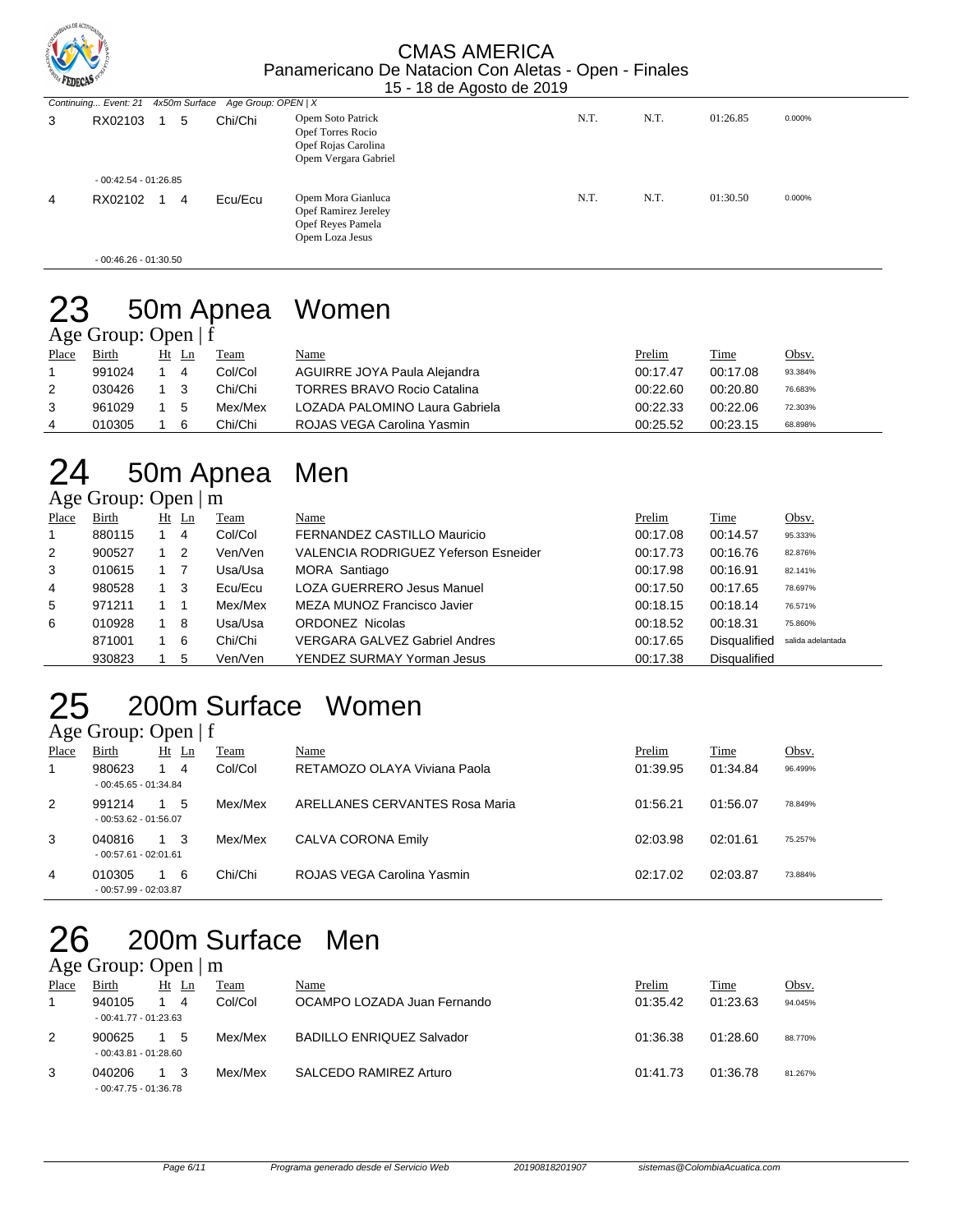

|   |                        |   |                                                        | .                                                                                         |      |      |          |        |
|---|------------------------|---|--------------------------------------------------------|-------------------------------------------------------------------------------------------|------|------|----------|--------|
|   |                        |   | Continuing Event: 21 4x50m Surface Age Group: OPEN   X |                                                                                           |      |      |          |        |
| 3 | RX02103                | 5 | Chi/Chi                                                | Opem Soto Patrick<br>Opef Torres Rocio<br>Opef Rojas Carolina<br>Opem Vergara Gabriel     | N.T. | N.T. | 01:26.85 | 0.000% |
|   | $-00:42.54 - 01:26.85$ |   |                                                        |                                                                                           |      |      |          |        |
| 4 | RX02102                | 4 | Ecu/Ecu                                                | Opem Mora Gianluca<br><b>Opef Ramirez Jereley</b><br>Opef Reyes Pamela<br>Opem Loza Jesus | N.T. | N.T. | 01:30.50 | 0.000% |

- 00:46.26 - 01:30.50

## 23 50m Apnea Women Age Group: Open | f

| Women |
|-------|
|-------|

| Place | Birth  | Ht Ln | Team    | <b>Name</b>                        | Prelim   | Time     | Obsv.   |
|-------|--------|-------|---------|------------------------------------|----------|----------|---------|
|       | 991024 | 4     | Col/Col | AGUIRRE JOYA Paula Alejandra       | 00:17.47 | 00:17.08 | 93.384% |
| 2     | 030426 | - 3   | Chi/Chi | <b>TORRES BRAVO Rocio Catalina</b> | 00:22.60 | 00:20.80 | 76.683% |
|       | 961029 | -5    | Mex/Mex | LOZADA PALOMINO Laura Gabriela     | 00:22.33 | 00:22.06 | 72.303% |
| 4     | 010305 | 6     | Chi/Chi | ROJAS VEGA Carolina Yasmin         | 00:25.52 | 00:23.15 | 68.898% |
|       |        |       |         |                                    |          |          |         |

# 24 50m Apnea Men

Age Group: Open | m

| Place | <b>Birth</b> |     | $Ht$ Ln        | Team    | Name                                 | Prelim   | Time                | Obsv.             |
|-------|--------------|-----|----------------|---------|--------------------------------------|----------|---------------------|-------------------|
|       | 880115       |     | 4              | Col/Col | FERNANDEZ CASTILLO Mauricio          | 00:17.08 | 00:14.57            | 95.333%           |
| 2     | 900527       |     | $\overline{2}$ | Ven/Ven | VALENCIA RODRIGUEZ Yeferson Esneider | 00:17.73 | 00:16.76            | 82.876%           |
| 3     | 010615       |     |                | Usa/Usa | MORA Santiago                        | 00:17.98 | 00:16.91            | 82.141%           |
| 4     | 980528       | 1 3 |                | Ecu/Ecu | <b>LOZA GUERRERO Jesus Manuel</b>    | 00:17.50 | 00:17.65            | 78.697%           |
| 5     | 971211       |     |                | Mex/Mex | MEZA MUNOZ Francisco Javier          | 00:18.15 | 00:18.14            | 76.571%           |
| 6     | 010928       |     | -8             | Usa/Usa | <b>ORDONEZ Nicolas</b>               | 00:18.52 | 00:18.31            | 75.860%           |
|       | 871001       |     | -6             | Chi/Chi | <b>VERGARA GALVEZ Gabriel Andres</b> | 00:17.65 | <b>Disqualified</b> | salida adelantada |
|       | 930823       |     | 5              | Ven/Ven | YENDEZ SURMAY Yorman Jesus           | 00:17.38 | <b>Disqualified</b> |                   |

# 25 200m Surface Women

Age Group: Open | f

|       | - - - <b>-</b> - - - - |             |    |         |                                |          |          |         |
|-------|------------------------|-------------|----|---------|--------------------------------|----------|----------|---------|
| Place | Birth                  | Ht          | Ln | Team    | Name                           | Prelim   | Time     | Obsv.   |
|       | 980623                 |             | 4  | Col/Col | RETAMOZO OLAYA Viviana Paola   | 01:39.95 | 01:34.84 | 96.499% |
|       | $-00:45.65 - 01:34.84$ |             |    |         |                                |          |          |         |
| 2     | 991214                 |             | 5  | Mex/Mex | ARELLANES CERVANTES Rosa Maria | 01:56.21 | 01:56.07 | 78.849% |
|       | $-00:53.62 - 01:56.07$ |             |    |         |                                |          |          |         |
| 3     | 040816                 | $1 \quad 3$ |    | Mex/Mex | CALVA CORONA Emily             | 02:03.98 | 02:01.61 | 75.257% |
|       | $-00:57.61 - 02:01.61$ |             |    |         |                                |          |          |         |
| 4     | 010305                 |             | 6  | Chi/Chi | ROJAS VEGA Carolina Yasmin     | 02:17.02 | 02:03.87 | 73.884% |
|       | $-00:57.99 - 02:03.87$ |             |    |         |                                |          |          |         |
|       |                        |             |    |         |                                |          |          |         |

## 200m Surface Men  $26$  200m St Age Group: Open | m

| Place | Birth                  | Ht<br>-Ln | Team    | Name                             | Prelim   | <b>Time</b> | Obsv.   |
|-------|------------------------|-----------|---------|----------------------------------|----------|-------------|---------|
|       | 940105                 |           | Col/Col | OCAMPO LOZADA Juan Fernando      | 01:35.42 | 01:23.63    | 94.045% |
|       | $-00:41.77 - 01:23.63$ |           |         |                                  |          |             |         |
| 2     | 900625                 | 5         | Mex/Mex | <b>BADILLO ENRIQUEZ Salvador</b> | 01:36.38 | 01:28.60    | 88.770% |
|       | $-00:43.81 - 01:28.60$ |           |         |                                  |          |             |         |
| 3     | 040206                 |           | Mex/Mex | SALCEDO RAMIREZ Arturo           | 01:41.73 | 01:36.78    | 81.267% |
|       | $-00:47.75 - 01:36.78$ |           |         |                                  |          |             |         |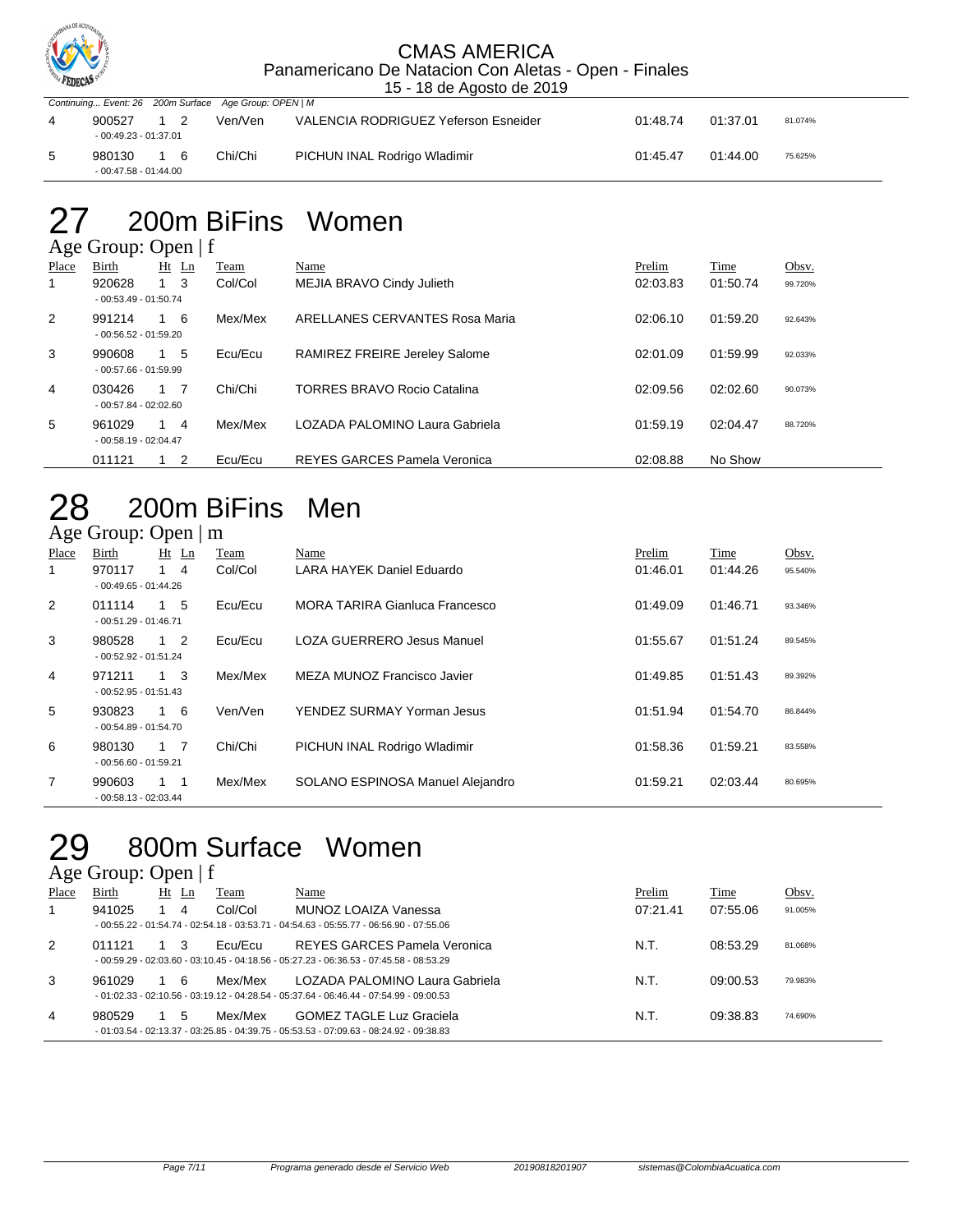

|                        |    | Continuing Event: 26 200m Surface Age Group: OPEN   M |                                      |          |          |         |
|------------------------|----|-------------------------------------------------------|--------------------------------------|----------|----------|---------|
| 900527                 |    | Ven/Ven                                               | VALENCIA RODRIGUEZ Yeferson Esneider | 01:48.74 | 01:37.01 | 81.074% |
| $-00:49.23 - 01:37.01$ |    |                                                       |                                      |          |          |         |
| 980130                 | 16 | Chi/Chi                                               | PICHUN INAL Rodrigo Wladimir         | 01:45.47 | 01:44.00 | 75.625% |
| $-00:47.58 - 01:44.00$ |    |                                                       |                                      |          |          |         |

# 27 200m BiFins Women

### Age Group: Open | f Place Birth Ht Ln Team Name Prelim Time Obsv. 1 920628 1 3 Col/Col MEJIA BRAVO Cindy Julieth 02:03.83 01:50.74 99.720% - 00:53.49 - 01:50.74 2 991214 1 6 Mex/Mex ARELLANES CERVANTES Rosa Maria 02:06.10 01:59.20 92.643% - 00:56.52 - 01:59.20 3 990608 1 5 Ecu/Ecu RAMIREZ FREIRE Jereley Salome 02:01.09 01:59.99 92.033% - 00:57.66 - 01:59.99 A 030426 1 7 Chi/Chi TORRES BRAVO Rocio Catalina 02:09.56 02:02.60 90.073% - 00:57.84 - 02:02.60 5 961029 1 4 Mex/Mex LOZADA PALOMINO Laura Gabriela 01:59.19 02:04.47 88.720% - 00:58.19 - 02:04.47 011121 1 2 Ecu/Ecu REYES GARCES Pamela Veronica 602:08.88 No Show

## 28 200m BiFins Men Age Group: Open | m

| Place          | Birth                            | $Ht$ Ln     | Team    | Name                                  | Prelim   | Time     | Obsv.   |
|----------------|----------------------------------|-------------|---------|---------------------------------------|----------|----------|---------|
| 1              | 970117<br>$-00:49.65 - 01:44.26$ | $1 \quad 4$ | Col/Col | LARA HAYEK Daniel Eduardo             | 01:46.01 | 01:44.26 | 95.540% |
| 2              | 011114<br>$-00:51.29 - 01:46.71$ | $1\quad 5$  | Ecu/Ecu | <b>MORA TARIRA Gianluca Francesco</b> | 01:49.09 | 01:46.71 | 93.346% |
| 3              | 980528<br>$-00:52.92 - 01:51.24$ | $1\quad 2$  | Ecu/Ecu | <b>LOZA GUERRERO Jesus Manuel</b>     | 01:55.67 | 01:51.24 | 89.545% |
| $\overline{4}$ | 971211<br>$-00:52.95 - 01:51.43$ | $1 \quad 3$ | Mex/Mex | MEZA MUNOZ Francisco Javier           | 01:49.85 | 01:51.43 | 89.392% |
| 5              | 930823<br>$-00:54.89 - 01:54.70$ | $1\quad 6$  | Ven/Ven | YENDEZ SURMAY Yorman Jesus            | 01:51.94 | 01:54.70 | 86.844% |
| 6              | 980130<br>$-00:56.60 - 01:59.21$ | $1 \quad 7$ | Chi/Chi | PICHUN INAL Rodrigo Wladimir          | 01:58.36 | 01:59.21 | 83.558% |
| 7              | 990603<br>$-00:58.13 - 02:03.44$ | $1 \quad 1$ | Mex/Mex | SOLANO ESPINOSA Manuel Alejandro      | 01:59.21 | 02:03.44 | 80.695% |

### 29 800m Surface Women  $A \circ e$  Group: Open | f

|       | $1.50$ ergapi open   1 |    |    |         |                                                                                          |          |          |         |
|-------|------------------------|----|----|---------|------------------------------------------------------------------------------------------|----------|----------|---------|
| Place | Birth                  | Ht | Ln | Team    | Name                                                                                     | Prelim   | Time     | Obsv.   |
|       | 941025                 |    | 4  | Col/Col | MUNOZ LOAIZA Vanessa                                                                     | 07:21.41 | 07:55.06 | 91.005% |
|       |                        |    |    |         | $-00:55.22 - 01:54.74 - 02:54.18 - 03:53.71 - 04:54.63 - 05:55.77 - 06:56.90 - 07:55.06$ |          |          |         |
| 2     | 011121                 |    |    | Ecu/Ecu | REYES GARCES Pamela Veronica                                                             | N.T.     | 08:53.29 | 81.068% |
|       |                        |    |    |         | $-00:59.29 - 02:03.60 - 03:10.45 - 04:18.56 - 05:27.23 - 06:36.53 - 07:45.58 - 08:53.29$ |          |          |         |
| 3     | 961029                 |    | 6  | Mex/Mex | LOZADA PALOMINO Laura Gabriela                                                           | N.T.     | 09:00.53 | 79.983% |
|       |                        |    |    |         | $-01:02.33 - 02:10.56 - 03:19.12 - 04:28.54 - 05:37.64 - 06:46.44 - 07:54.99 - 09:00.53$ |          |          |         |
| 4     | 980529                 |    | 5  | Mex/Mex | <b>GOMEZ TAGLE Luz Graciela</b>                                                          | N.T.     | 09:38.83 | 74.690% |
|       |                        |    |    |         | $-01:03.54 - 02:13.37 - 03:25.85 - 04:39.75 - 05:53.53 - 07:09.63 - 08:24.92 - 09:38.83$ |          |          |         |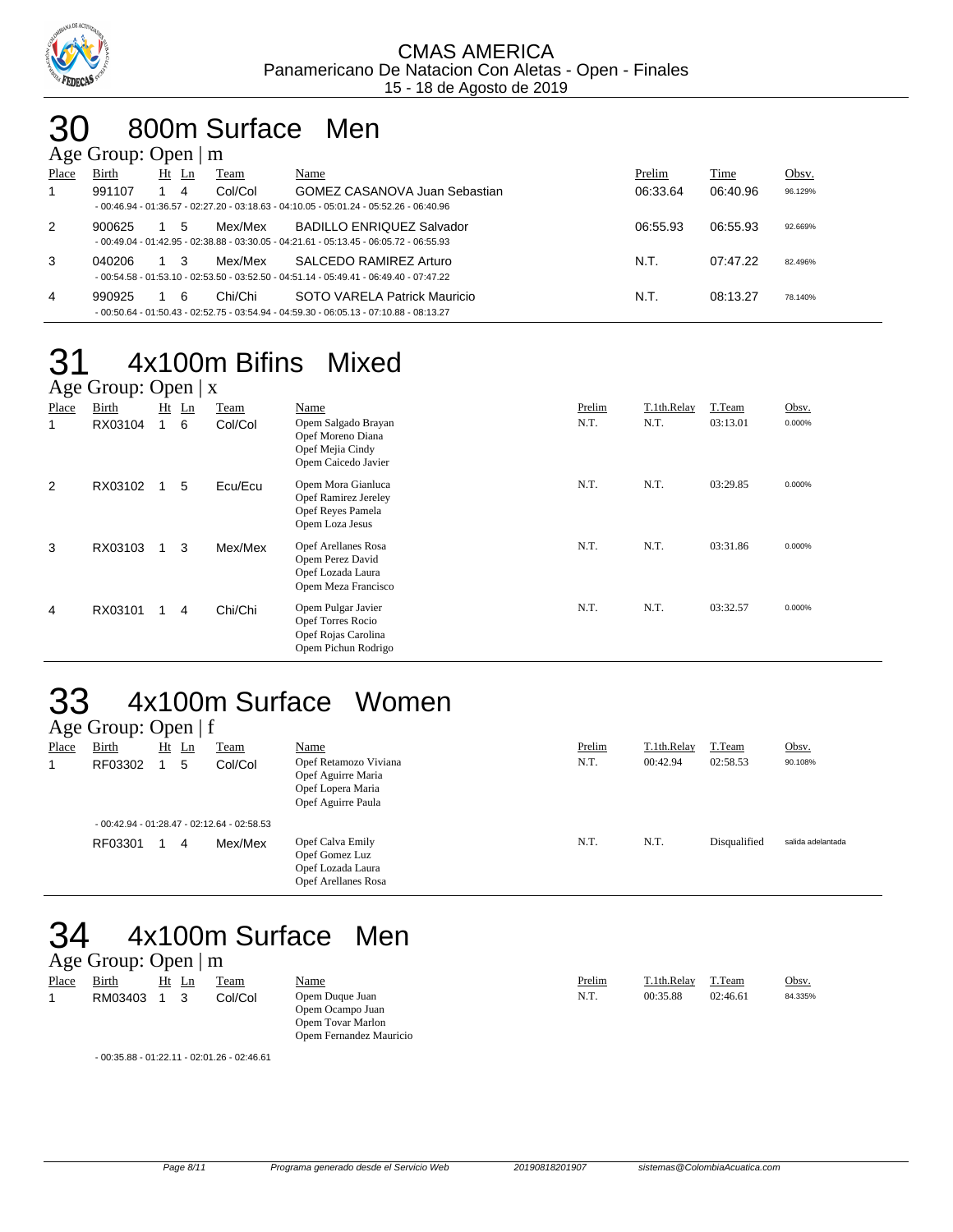

# 30 800m Surface Men

|       | Age Group: Open $\mid$ m |                      |         |                                                                                          |          |          |         |
|-------|--------------------------|----------------------|---------|------------------------------------------------------------------------------------------|----------|----------|---------|
| Place | Birth                    | Ht<br>$\mathbf{L}$ n | Team    | Name                                                                                     | Prelim   | Time     | Obsv.   |
| 1     | 991107                   | 4                    | Col/Col | GOMEZ CASANOVA Juan Sebastian                                                            | 06:33.64 | 06:40.96 | 96.129% |
|       |                          |                      |         | $-00:46.94 - 01:36.57 - 02:27.20 - 03:18.63 - 04:10.05 - 05:01.24 - 05:52.26 - 06:40.96$ |          |          |         |
| 2     | 900625                   | 5                    | Mex/Mex | <b>BADILLO ENRIQUEZ Salvador</b>                                                         | 06:55.93 | 06:55.93 | 92.669% |
|       |                          |                      |         | $-00:49.04 - 01:42.95 - 02:38.88 - 03:30.05 - 04:21.61 - 05:13.45 - 06:05.72 - 06:55.93$ |          |          |         |
| 3     | 040206                   |                      | Mex/Mex | SALCEDO RAMIREZ Arturo                                                                   | N.T.     | 07:47.22 | 82.496% |
|       |                          |                      |         | $-00:54.58 - 01:53.10 - 02:53.50 - 03:52.50 - 04:51.14 - 05:49.41 - 06:49.40 - 07:47.22$ |          |          |         |
| 4     | 990925                   | 6                    | Chi/Chi | SOTO VARELA Patrick Mauricio                                                             | N.T.     | 08:13.27 | 78.140% |
|       |                          |                      |         | $-00:50.64 - 01:50.43 - 02:52.75 - 03:54.94 - 04:59.30 - 06:05.13 - 07:10.88 - 08:13.27$ |          |          |         |

### 31 4x100m Bifins Mixed  $\Omega_{\text{mean}}$  | x

|       | $\angle$ Age Oroup. Open   $\angle$ |    |    |         |                                                                                            |        |             |          |        |  |  |  |
|-------|-------------------------------------|----|----|---------|--------------------------------------------------------------------------------------------|--------|-------------|----------|--------|--|--|--|
| Place | <b>Birth</b>                        | Ht | Ln | Team    | Name                                                                                       | Prelim | T.1th.Relay | T.Team   | Obsv.  |  |  |  |
| 1     | RX03104                             |    | 6  | Col/Col | Opem Salgado Brayan<br>Opef Moreno Diana<br>Opef Mejia Cindy<br>Opem Caicedo Javier        | N.T.   | N.T.        | 03:13.01 | 0.000% |  |  |  |
| 2     | RX03102                             |    | 5  | Ecu/Ecu | Opem Mora Gianluca<br><b>Opef Ramirez Jereley</b><br>Opef Reyes Pamela<br>Opem Loza Jesus  | N.T.   | N.T.        | 03:29.85 | 0.000% |  |  |  |
| 3     | RX03103                             |    | 3  | Mex/Mex | <b>Opef Arellanes Rosa</b><br>Opem Perez David<br>Opef Lozada Laura<br>Opem Meza Francisco | N.T.   | N.T.        | 03:31.86 | 0.000% |  |  |  |
| 4     | RX03101                             |    | 4  | Chi/Chi | Opem Pulgar Javier<br>Opef Torres Rocio<br>Opef Rojas Carolina<br>Opem Pichun Rodrigo      | N.T.   | N.T.        | 03:32.57 | 0.000% |  |  |  |

# 33 4x100m Surface Women

|       | Age Group: Open $ f $ |         |                                              |                                                                                        |        |             |              |                   |
|-------|-----------------------|---------|----------------------------------------------|----------------------------------------------------------------------------------------|--------|-------------|--------------|-------------------|
| Place | <b>Birth</b>          | $Ht$ Ln | Team                                         | <u>Name</u>                                                                            | Prelim | T.1th.Relay | T.Team       | Obsv.             |
| 1     | RF03302               | 5       | Col/Col                                      | Opef Retamozo Viviana<br>Opef Aguirre Maria<br>Opef Lopera Maria<br>Opef Aguirre Paula | N.T.   | 00:42.94    | 02:58.53     | 90.108%           |
|       |                       |         | $-00:42.94 - 01:28.47 - 02:12.64 - 02:58.53$ |                                                                                        |        |             |              |                   |
|       | RF03301               | 4       | Mex/Mex                                      | Opef Calva Emily<br>Opef Gomez Luz<br>Opef Lozada Laura<br>Opef Arellanes Rosa         | N.T.   | N.T.        | Disqualified | salida adelantada |

# 34 4x100m Surface Men

## Age Group: Open | m

| Place | <b>Birth</b> | $Hf$ $I.n$ | Team    |
|-------|--------------|------------|---------|
| 1     | RM03403      |            | Col/Col |

Opem Ocampo Juan Opem Tovar Marlon Opem Fernandez Mauricio

| - 00:35.88 - 01:22.11 - 02:01.26 - 02:46.61 |  |  |
|---------------------------------------------|--|--|
|                                             |  |  |

Name Name Prelim 2.1th.Relay T.Team Obsv.<br>
2009 Duque Juan 24.335% Opem Duque Juan 25 N.T. 00:35.88 02:46.61 24.335% 1 Dem Duque Juan 1 2 Col. 235.88 02:46.61 84.335%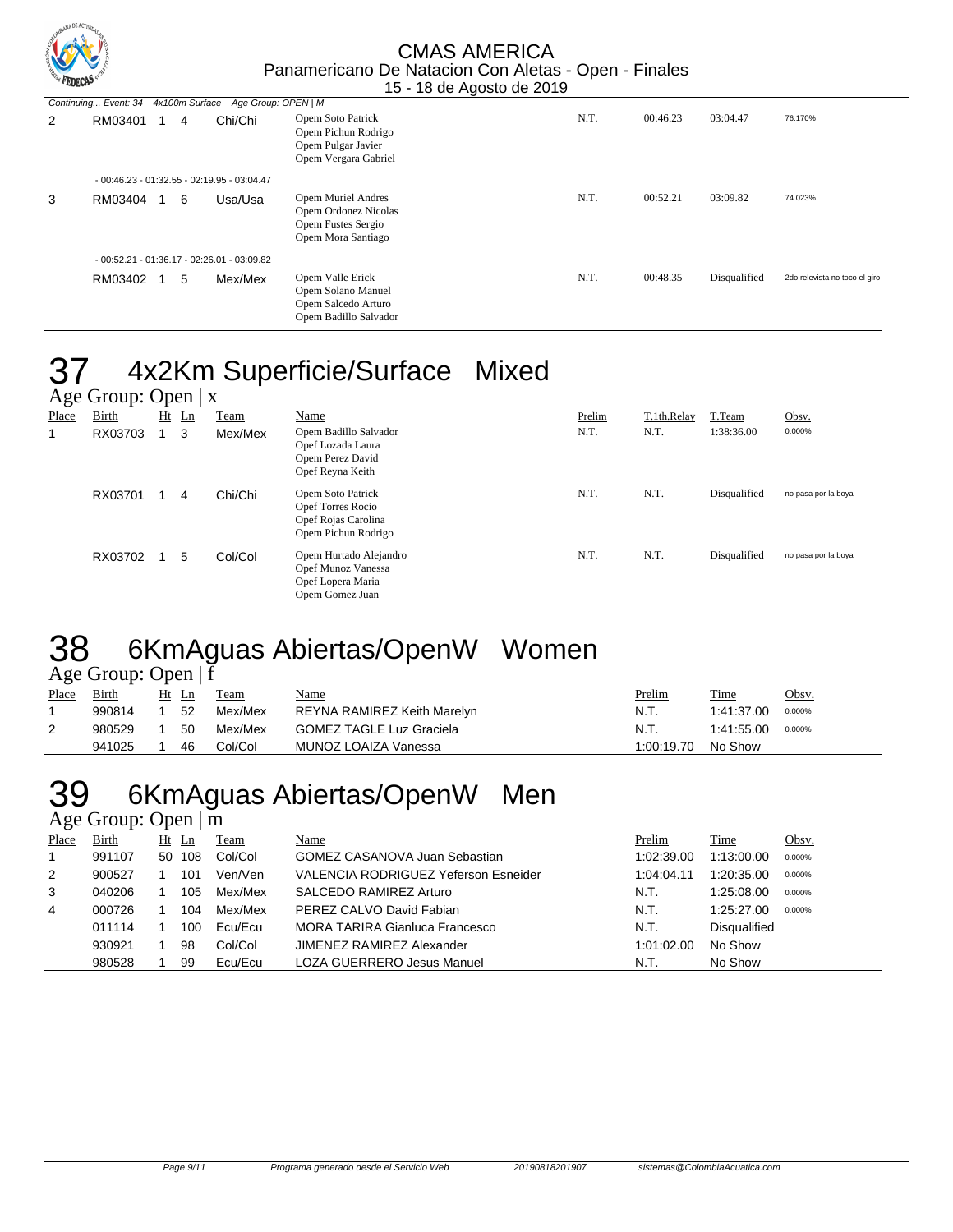

|   |         |   | Continuing Event: 34 4x100m Surface Age Group: OPEN   M |                                                                                        |      |          |              |                               |
|---|---------|---|---------------------------------------------------------|----------------------------------------------------------------------------------------|------|----------|--------------|-------------------------------|
| 2 | RM03401 | 4 | Chi/Chi                                                 | Opem Soto Patrick<br>Opem Pichun Rodrigo<br>Opem Pulgar Javier<br>Opem Vergara Gabriel | N.T. | 00:46.23 | 03:04.47     | 76.170%                       |
|   |         |   | $-00:46.23 - 01:32.55 - 02:19.95 - 03:04.47$            |                                                                                        |      |          |              |                               |
| 3 | RM03404 | 6 | Usa/Usa                                                 | Opem Muriel Andres<br>Opem Ordonez Nicolas<br>Opem Fustes Sergio<br>Opem Mora Santiago | N.T. | 00:52.21 | 03:09.82     | 74.023%                       |
|   |         |   | $-00:52.21 - 01:36.17 - 02:26.01 - 03:09.82$            |                                                                                        |      |          |              |                               |
|   | RM03402 | 5 | Mex/Mex                                                 | Opem Valle Erick<br>Opem Solano Manuel<br>Opem Salcedo Arturo<br>Opem Badillo Salvador | N.T. | 00:48.35 | Disqualified | 2do relevista no toco el giro |

# 37 4x2Km Superficie/Surface Mixed

|       | Age Group: Open $ x $ |    |    |         |                                                                                      |        |             |              |                     |  |  |
|-------|-----------------------|----|----|---------|--------------------------------------------------------------------------------------|--------|-------------|--------------|---------------------|--|--|
| Place | Birth                 | Ht | Ln | Team    | <b>Name</b>                                                                          | Prelim | T.1th.Relay | T.Team       | Obsv.               |  |  |
|       | RX03703               |    | 3  | Mex/Mex | Opem Badillo Salvador<br>Opef Lozada Laura<br>Opem Perez David<br>Opef Reyna Keith   | N.T.   | N.T.        | 1:38:36.00   | 0.000%              |  |  |
|       | RX03701               |    | 4  | Chi/Chi | Opem Soto Patrick<br>Opef Torres Rocio<br>Opef Rojas Carolina<br>Opem Pichun Rodrigo | N.T.   | N.T.        | Disqualified | no pasa por la boya |  |  |
|       | RX03702               |    | 5  | Col/Col | Opem Hurtado Alejandro<br>Opef Munoz Vanessa<br>Opef Lopera Maria<br>Opem Gomez Juan | N.T.   | N.T.        | Disqualified | no pasa por la boya |  |  |

# 38 6KmAguas Abiertas/OpenW Women

Age Group: Open | f

| Place | Birth  | Ht | Ln  | Team    | <u>Name</u>                     | <u>Prelim</u> | Time       | Obsv.  |
|-------|--------|----|-----|---------|---------------------------------|---------------|------------|--------|
|       | 990814 |    | 52  | Mex/Mex | REYNA RAMIREZ Keith Marelyn     | N.T.          | 1:41:37.00 | 0.000% |
| 2     | 980529 |    | -50 | Mex/Mex | <b>GOMEZ TAGLE Luz Graciela</b> | N.T.          | 1:41:55.00 | 0.000% |
|       | 941025 |    | 46  | Col/Col | MUNOZ LOAIZA Vanessa            | 1:00:19.70    | No Show    |        |

## 39 6KmAguas Abiertas/OpenW Men Age Group: Open | m

| Place        | <b>Birth</b> | $Ht$ Ln | Team    | <u>Name</u>                                 | Prelim     | Time                | Obsv.  |
|--------------|--------------|---------|---------|---------------------------------------------|------------|---------------------|--------|
| $\mathbf{1}$ | 991107       | 50 108  | Col/Col | <b>GOMEZ CASANOVA Juan Sebastian</b>        | 1:02:39.00 | 1:13:00.00          | 0.000% |
| 2            | 900527       | 101     | Ven/Ven | <b>VALENCIA RODRIGUEZ Yeferson Esneider</b> | 1:04:04.11 | 1:20:35.00          | 0.000% |
| 3            | 040206       | 105     | Mex/Mex | SALCEDO RAMIREZ Arturo                      | N.T.       | 1:25:08.00          | 0.000% |
| 4            | 000726       | 104     | Mex/Mex | PEREZ CALVO David Fabian                    | N.T.       | 1:25:27.00          | 0.000% |
|              | 011114       | 100     | Ecu/Ecu | <b>MORA TARIRA Gianluca Francesco</b>       | N.T.       | <b>Disqualified</b> |        |
|              | 930921       | 98      | Col/Col | JIMENEZ RAMIREZ Alexander                   | 1:01:02.00 | No Show             |        |
|              | 980528       | 99      | Ecu/Ecu | <b>LOZA GUERRERO Jesus Manuel</b>           | N.T.       | No Show             |        |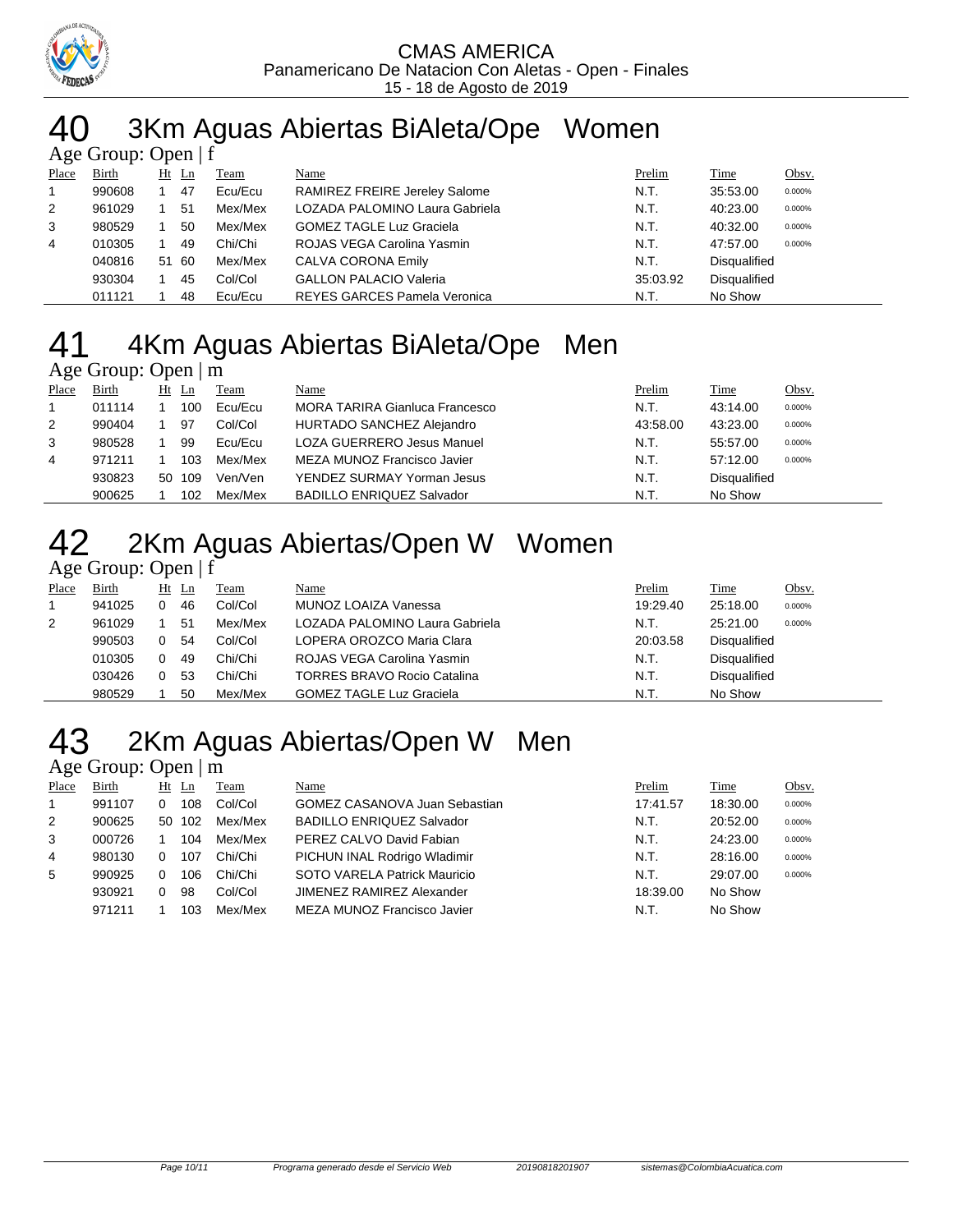

### 3Km Aguas Abiertas BiAleta/Ope Women Age Group: Open | f

|       | $1.5$ $\sigma$ $\sigma$ $\sigma$ $\sigma$ $\sigma$ $\sigma$ $\sigma$ |  |       |         |                                     |          |                     |        |  |  |  |
|-------|----------------------------------------------------------------------|--|-------|---------|-------------------------------------|----------|---------------------|--------|--|--|--|
| Place | Birth                                                                |  | Ht Ln | Team    | Name                                | Prelim   | Time                | Obsv.  |  |  |  |
|       | 990608                                                               |  | 47    | Ecu/Ecu | RAMIREZ FREIRE Jereley Salome       | N.T.     | 35:53.00            | 0.000% |  |  |  |
| 2     | 961029                                                               |  | 51    | Mex/Mex | LOZADA PALOMINO Laura Gabriela      | N.T.     | 40:23.00            | 0.000% |  |  |  |
| 3     | 980529                                                               |  | 50    | Mex/Mex | <b>GOMEZ TAGLE Luz Graciela</b>     | N.T.     | 40:32.00            | 0.000% |  |  |  |
| 4     | 010305                                                               |  | 49    | Chi/Chi | ROJAS VEGA Carolina Yasmin          | N.T.     | 47:57.00            | 0.000% |  |  |  |
|       | 040816                                                               |  | 51 60 | Mex/Mex | CALVA CORONA Emily                  | N.T.     | <b>Disqualified</b> |        |  |  |  |
|       | 930304                                                               |  | 45    | Col/Col | <b>GALLON PALACIO Valeria</b>       | 35:03.92 | <b>Disqualified</b> |        |  |  |  |
|       | 011121                                                               |  | 48    | Ecu/Ecu | <b>REYES GARCES Pamela Veronica</b> | N.T.     | No Show             |        |  |  |  |

# 4Km Aguas Abiertas BiAleta/Ope Men

### Age Group: Open | m

| Place | Birth  | $Ht$ Ln |        | Team    | Name                             | Prelim   | Time                | Obsv.  |
|-------|--------|---------|--------|---------|----------------------------------|----------|---------------------|--------|
|       | 011114 |         | 100    | Ecu/Ecu | MORA TARIRA Gianluca Francesco   | N.T.     | 43:14.00            | 0.000% |
| 2     | 990404 |         | 97     | Col/Col | HURTADO SANCHEZ Alejandro        | 43:58.00 | 43:23.00            | 0.000% |
| 3     | 980528 |         | 99     | Ecu/Ecu | LOZA GUERRERO Jesus Manuel       | N.T.     | 55:57.00            | 0.000% |
| 4     | 971211 |         | 103    | Mex/Mex | MEZA MUNOZ Francisco Javier      | N.T.     | 57:12.00            | 0.000% |
|       | 930823 |         | 50 109 | Ven/Ven | YENDEZ SURMAY Yorman Jesus       | N.T.     | <b>Disqualified</b> |        |
|       | 900625 |         | 102    | Mex/Mex | <b>BADILLO ENRIQUEZ Salvador</b> | N.T.     | No Show             |        |

# 2Km Aguas Abiertas/Open W Women

## Age Group: Open | f

| Place | Birth  | Ht Ln | Team    | Name                               | Prelim   | <b>Time</b>         | Obsv.  |
|-------|--------|-------|---------|------------------------------------|----------|---------------------|--------|
|       | 941025 | 46    | Col/Col | MUNOZ LOAIZA Vanessa               | 19:29.40 | 25:18.00            | 0.000% |
| 2     | 961029 | 51    | Mex/Mex | LOZADA PALOMINO Laura Gabriela     | N.T.     | 25:21.00            | 0.000% |
|       | 990503 | 54    | Col/Col | LOPERA OROZCO Maria Clara          | 20:03.58 | <b>Disqualified</b> |        |
|       | 010305 | 49    | Chi/Chi | ROJAS VEGA Carolina Yasmin         | N.T.     | Disqualified        |        |
|       | 030426 | 53    | Chi/Chi | <b>TORRES BRAVO Rocio Catalina</b> | N.T.     | Disqualified        |        |
|       | 980529 | 50    | Mex/Mex | <b>GOMEZ TAGLE Luz Graciela</b>    | N.T.     | No Show             |        |

## 2Km Aguas Abiertas/Open W Men Age Group: Open | m

| Place | Birth  | Ht         | Ln  | Team    | Name                                 | Prelim   | <b>Time</b> | Obsv.  |
|-------|--------|------------|-----|---------|--------------------------------------|----------|-------------|--------|
|       | 991107 | 0          | 108 | Col/Col | <b>GOMEZ CASANOVA Juan Sebastian</b> | 17:41.57 | 18:30.00    | 0.000% |
| 2     | 900625 | 50         | 102 | Mex/Mex | <b>BADILLO ENRIQUEZ Salvador</b>     | N.T.     | 20:52.00    | 0.000% |
| 3     | 000726 |            | 104 | Mex/Mex | PEREZ CALVO David Fabian             | N.T.     | 24:23.00    | 0.000% |
| 4     | 980130 | 0          | 107 | Chi/Chi | PICHUN INAL Rodrigo Wladimir         | N.T.     | 28:16.00    | 0.000% |
| 5     | 990925 | $^{\circ}$ | 106 | Chi/Chi | SOTO VARELA Patrick Mauricio         | N.T.     | 29:07.00    | 0.000% |
|       | 930921 | 0          | 98  | Col/Col | JIMENEZ RAMIREZ Alexander            | 18:39.00 | No Show     |        |
|       | 971211 |            | 103 | Mex/Mex | MEZA MUNOZ Francisco Javier          | N.T.     | No Show     |        |
|       |        |            |     |         |                                      |          |             |        |